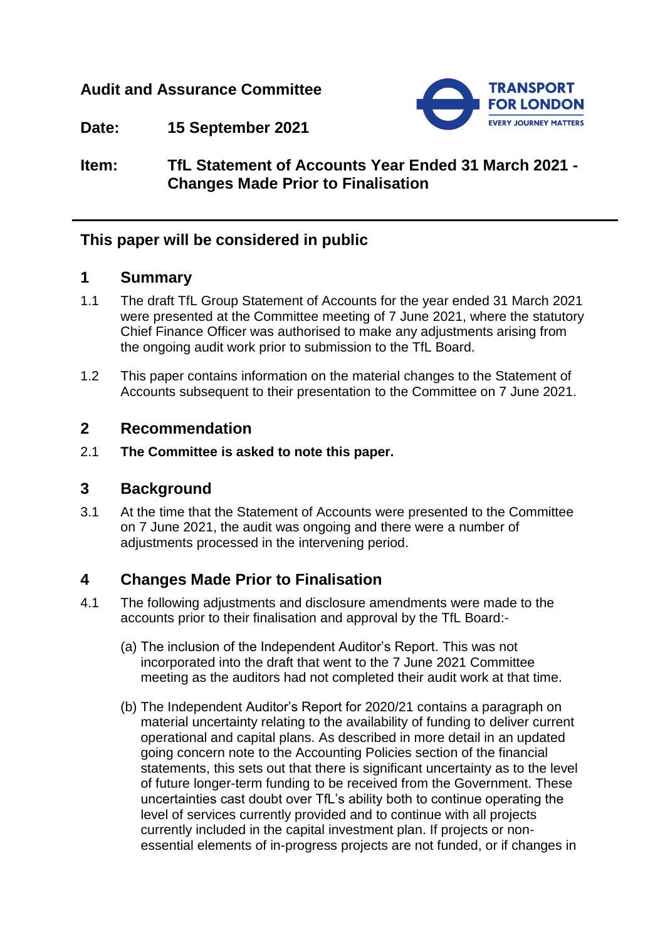## **Audit and Assurance Committee**



**Date: 15 September 2021**

# **Item: TfL Statement of Accounts Year Ended 31 March 2021 - Changes Made Prior to Finalisation**

## **This paper will be considered in public**

## **1 Summary**

- 1.1 The draft TfL Group Statement of Accounts for the year ended 31 March 2021 were presented at the Committee meeting of 7 June 2021, where the statutory Chief Finance Officer was authorised to make any adjustments arising from the ongoing audit work prior to submission to the TfL Board.
- 1.2 This paper contains information on the material changes to the Statement of Accounts subsequent to their presentation to the Committee on 7 June 2021.

#### **2 Recommendation**

2.1 **The Committee is asked to note this paper.**

## **3 Background**

3.1 At the time that the Statement of Accounts were presented to the Committee on 7 June 2021, the audit was ongoing and there were a number of adjustments processed in the intervening period.

## **4 Changes Made Prior to Finalisation**

- 4.1 The following adjustments and disclosure amendments were made to the accounts prior to their finalisation and approval by the TfL Board:-
	- (a) The inclusion of the Independent Auditor's Report. This was not incorporated into the draft that went to the 7 June 2021 Committee meeting as the auditors had not completed their audit work at that time.
	- (b) The Independent Auditor's Report for 2020/21 contains a paragraph on material uncertainty relating to the availability of funding to deliver current operational and capital plans. As described in more detail in an updated going concern note to the Accounting Policies section of the financial statements, this sets out that there is significant uncertainty as to the level of future longer-term funding to be received from the Government. These uncertainties cast doubt over TfL's ability both to continue operating the level of services currently provided and to continue with all projects currently included in the capital investment plan. If projects or nonessential elements of in-progress projects are not funded, or if changes in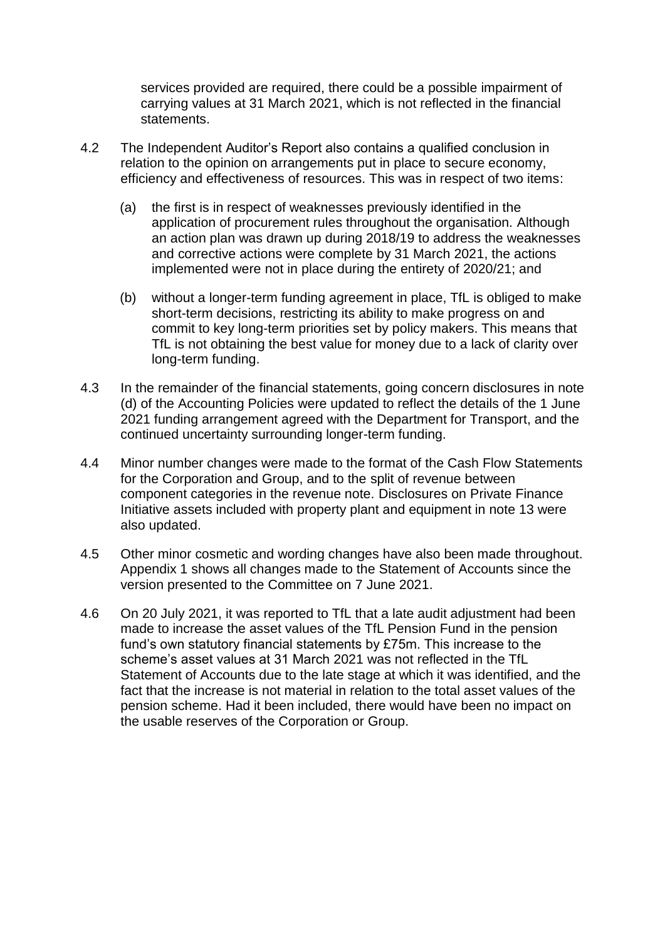services provided are required, there could be a possible impairment of carrying values at 31 March 2021, which is not reflected in the financial statements.

- 4.2 The Independent Auditor's Report also contains a qualified conclusion in relation to the opinion on arrangements put in place to secure economy, efficiency and effectiveness of resources. This was in respect of two items:
	- (a) the first is in respect of weaknesses previously identified in the application of procurement rules throughout the organisation. Although an action plan was drawn up during 2018/19 to address the weaknesses and corrective actions were complete by 31 March 2021, the actions implemented were not in place during the entirety of 2020/21; and
	- (b) without a longer-term funding agreement in place, TfL is obliged to make short-term decisions, restricting its ability to make progress on and commit to key long-term priorities set by policy makers. This means that TfL is not obtaining the best value for money due to a lack of clarity over long-term funding.
- 4.3 In the remainder of the financial statements, going concern disclosures in note (d) of the Accounting Policies were updated to reflect the details of the 1 June 2021 funding arrangement agreed with the Department for Transport, and the continued uncertainty surrounding longer-term funding.
- 4.4 Minor number changes were made to the format of the Cash Flow Statements for the Corporation and Group, and to the split of revenue between component categories in the revenue note. Disclosures on Private Finance Initiative assets included with property plant and equipment in note 13 were also updated.
- 4.5 Other minor cosmetic and wording changes have also been made throughout. Appendix 1 shows all changes made to the Statement of Accounts since the version presented to the Committee on 7 June 2021.
- 4.6 On 20 July 2021, it was reported to TfL that a late audit adjustment had been made to increase the asset values of the TfL Pension Fund in the pension fund's own statutory financial statements by £75m. This increase to the scheme's asset values at 31 March 2021 was not reflected in the TfL Statement of Accounts due to the late stage at which it was identified, and the fact that the increase is not material in relation to the total asset values of the pension scheme. Had it been included, there would have been no impact on the usable reserves of the Corporation or Group.